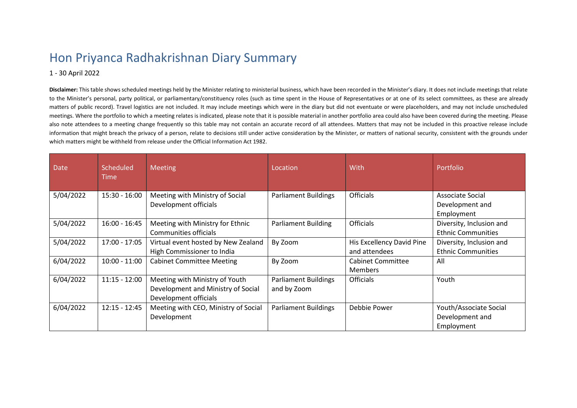## Hon Priyanca Radhakrishnan Diary Summary

## 1 - 30 April 2022

**Disclaimer:** This table shows scheduled meetings held by the Minister relating to ministerial business, which have been recorded in the Minister's diary. It does not include meetings that relate to the Minister's personal, party political, or parliamentary/constituency roles (such as time spent in the House of Representatives or at one of its select committees, as these are already matters of public record). Travel logistics are not included. It may include meetings which were in the diary but did not eventuate or were placeholders, and may not include unscheduled meetings. Where the portfolio to which a meeting relates is indicated, please note that it is possible material in another portfolio area could also have been covered during the meeting. Please also note attendees to a meeting change frequently so this table may not contain an accurate record of all attendees. Matters that may not be included in this proactive release include information that might breach the privacy of a person, relate to decisions still under active consideration by the Minister, or matters of national security, consistent with the grounds under which matters might be withheld from release under the Official Information Act 1982.

| <b>Date</b> | Scheduled<br>Time | <b>Meeting</b>                                                                                | Location                                   | With                                       | Portfolio                                               |
|-------------|-------------------|-----------------------------------------------------------------------------------------------|--------------------------------------------|--------------------------------------------|---------------------------------------------------------|
| 5/04/2022   | $15:30 - 16:00$   | Meeting with Ministry of Social<br>Development officials                                      | <b>Parliament Buildings</b>                | <b>Officials</b>                           | Associate Social<br>Development and<br>Employment       |
| 5/04/2022   | $16:00 - 16:45$   | Meeting with Ministry for Ethnic<br>Communities officials                                     | <b>Parliament Building</b>                 | <b>Officials</b>                           | Diversity, Inclusion and<br><b>Ethnic Communities</b>   |
| 5/04/2022   | 17:00 - 17:05     | Virtual event hosted by New Zealand<br>High Commissioner to India                             | By Zoom                                    | His Excellency David Pine<br>and attendees | Diversity, Inclusion and<br><b>Ethnic Communities</b>   |
| 6/04/2022   | $10:00 - 11:00$   | <b>Cabinet Committee Meeting</b>                                                              | By Zoom                                    | <b>Cabinet Committee</b><br><b>Members</b> | All                                                     |
| 6/04/2022   | $11:15 - 12:00$   | Meeting with Ministry of Youth<br>Development and Ministry of Social<br>Development officials | <b>Parliament Buildings</b><br>and by Zoom | <b>Officials</b>                           | Youth                                                   |
| 6/04/2022   | $12:15 - 12:45$   | Meeting with CEO, Ministry of Social<br>Development                                           | <b>Parliament Buildings</b>                | Debbie Power                               | Youth/Associate Social<br>Development and<br>Employment |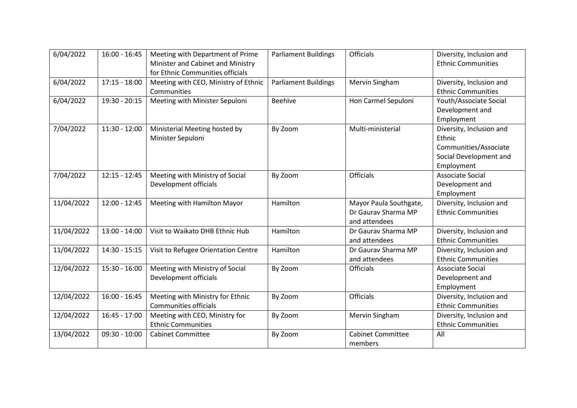| 6/04/2022  | $16:00 - 16:45$ | Meeting with Department of Prime<br>Minister and Cabinet and Ministry<br>for Ethnic Communities officials | <b>Parliament Buildings</b> | <b>Officials</b>                                               | Diversity, Inclusion and<br><b>Ethnic Communities</b>                                               |
|------------|-----------------|-----------------------------------------------------------------------------------------------------------|-----------------------------|----------------------------------------------------------------|-----------------------------------------------------------------------------------------------------|
| 6/04/2022  | $17:15 - 18:00$ | Meeting with CEO, Ministry of Ethnic<br>Communities                                                       | <b>Parliament Buildings</b> | Mervin Singham                                                 | Diversity, Inclusion and<br><b>Ethnic Communities</b>                                               |
| 6/04/2022  | 19:30 - 20:15   | Meeting with Minister Sepuloni                                                                            | <b>Beehive</b>              | Hon Carmel Sepuloni                                            | Youth/Associate Social<br>Development and<br>Employment                                             |
| 7/04/2022  | $11:30 - 12:00$ | Ministerial Meeting hosted by<br>Minister Sepuloni                                                        | By Zoom                     | Multi-ministerial                                              | Diversity, Inclusion and<br>Ethnic<br>Communities/Associate<br>Social Development and<br>Employment |
| 7/04/2022  | $12:15 - 12:45$ | Meeting with Ministry of Social<br>Development officials                                                  | By Zoom                     | <b>Officials</b>                                               | <b>Associate Social</b><br>Development and<br>Employment                                            |
| 11/04/2022 | $12:00 - 12:45$ | Meeting with Hamilton Mayor                                                                               | Hamilton                    | Mayor Paula Southgate,<br>Dr Gaurav Sharma MP<br>and attendees | Diversity, Inclusion and<br><b>Ethnic Communities</b>                                               |
| 11/04/2022 | $13:00 - 14:00$ | Visit to Waikato DHB Ethnic Hub                                                                           | Hamilton                    | Dr Gaurav Sharma MP<br>and attendees                           | Diversity, Inclusion and<br><b>Ethnic Communities</b>                                               |
| 11/04/2022 | 14:30 - 15:15   | Visit to Refugee Orientation Centre                                                                       | Hamilton                    | Dr Gaurav Sharma MP<br>and attendees                           | Diversity, Inclusion and<br><b>Ethnic Communities</b>                                               |
| 12/04/2022 | 15:30 - 16:00   | Meeting with Ministry of Social<br>Development officials                                                  | By Zoom                     | Officials                                                      | <b>Associate Social</b><br>Development and<br>Employment                                            |
| 12/04/2022 | $16:00 - 16:45$ | Meeting with Ministry for Ethnic<br>Communities officials                                                 | By Zoom                     | <b>Officials</b>                                               | Diversity, Inclusion and<br><b>Ethnic Communities</b>                                               |
| 12/04/2022 | $16:45 - 17:00$ | Meeting with CEO, Ministry for<br><b>Ethnic Communities</b>                                               | By Zoom                     | Mervin Singham                                                 | Diversity, Inclusion and<br><b>Ethnic Communities</b>                                               |
| 13/04/2022 | $09:30 - 10:00$ | <b>Cabinet Committee</b>                                                                                  | By Zoom                     | <b>Cabinet Committee</b><br>members                            | All                                                                                                 |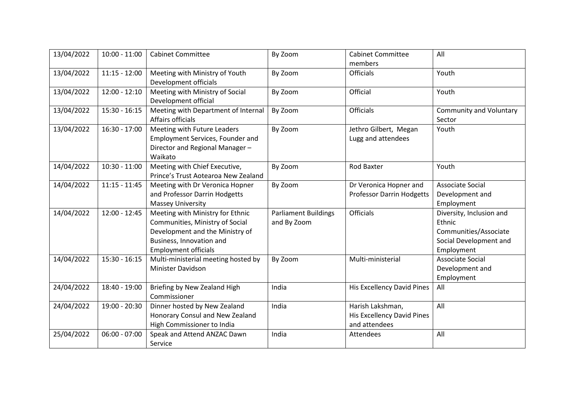| 13/04/2022 | $10:00 - 11:00$ | <b>Cabinet Committee</b>                                                                                                                                          | By Zoom                                    | <b>Cabinet Committee</b><br>members                                    | All                                                                                                 |
|------------|-----------------|-------------------------------------------------------------------------------------------------------------------------------------------------------------------|--------------------------------------------|------------------------------------------------------------------------|-----------------------------------------------------------------------------------------------------|
| 13/04/2022 | $11:15 - 12:00$ | Meeting with Ministry of Youth<br>Development officials                                                                                                           | By Zoom                                    | <b>Officials</b>                                                       | Youth                                                                                               |
| 13/04/2022 | $12:00 - 12:10$ | Meeting with Ministry of Social<br>Development official                                                                                                           | By Zoom                                    | Official                                                               | Youth                                                                                               |
| 13/04/2022 | $15:30 - 16:15$ | Meeting with Department of Internal<br>Affairs officials                                                                                                          | By Zoom                                    | <b>Officials</b>                                                       | <b>Community and Voluntary</b><br>Sector                                                            |
| 13/04/2022 | $16:30 - 17:00$ | Meeting with Future Leaders<br>Employment Services, Founder and<br>Director and Regional Manager-<br>Waikato                                                      | By Zoom                                    | Jethro Gilbert, Megan<br>Lugg and attendees                            | Youth                                                                                               |
| 14/04/2022 | $10:30 - 11:00$ | Meeting with Chief Executive,<br>Prince's Trust Aotearoa New Zealand                                                                                              | By Zoom                                    | <b>Rod Baxter</b>                                                      | Youth                                                                                               |
| 14/04/2022 | $11:15 - 11:45$ | Meeting with Dr Veronica Hopner<br>and Professor Darrin Hodgetts<br><b>Massey University</b>                                                                      | By Zoom                                    | Dr Veronica Hopner and<br><b>Professor Darrin Hodgetts</b>             | Associate Social<br>Development and<br>Employment                                                   |
| 14/04/2022 | $12:00 - 12:45$ | Meeting with Ministry for Ethnic<br>Communities, Ministry of Social<br>Development and the Ministry of<br>Business, Innovation and<br><b>Employment officials</b> | <b>Parliament Buildings</b><br>and By Zoom | <b>Officials</b>                                                       | Diversity, Inclusion and<br>Ethnic<br>Communities/Associate<br>Social Development and<br>Employment |
| 14/04/2022 | $15:30 - 16:15$ | Multi-ministerial meeting hosted by<br>Minister Davidson                                                                                                          | By Zoom                                    | Multi-ministerial                                                      | <b>Associate Social</b><br>Development and<br>Employment                                            |
| 24/04/2022 | 18:40 - 19:00   | Briefing by New Zealand High<br>Commissioner                                                                                                                      | India                                      | <b>His Excellency David Pines</b>                                      | All                                                                                                 |
| 24/04/2022 | 19:00 - 20:30   | Dinner hosted by New Zealand<br>Honorary Consul and New Zealand<br>High Commissioner to India                                                                     | India                                      | Harish Lakshman,<br><b>His Excellency David Pines</b><br>and attendees | All                                                                                                 |
| 25/04/2022 | $06:00 - 07:00$ | Speak and Attend ANZAC Dawn<br>Service                                                                                                                            | India                                      | Attendees                                                              | All                                                                                                 |